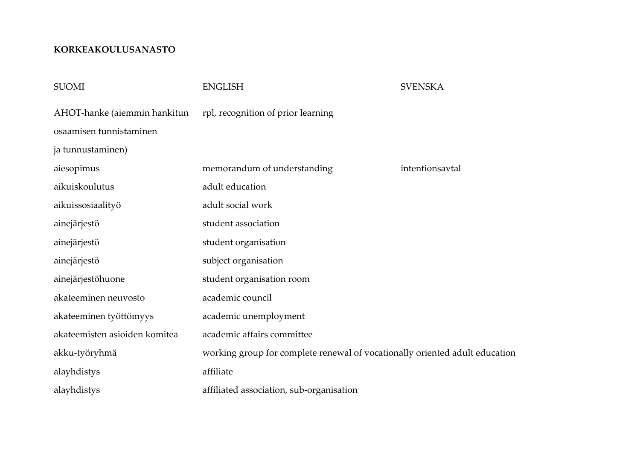## **KORKEAKOULUSANASTO**

| <b>SUOMI</b>                  | <b>ENGLISH</b>                                                              | <b>SVENSKA</b>  |
|-------------------------------|-----------------------------------------------------------------------------|-----------------|
| AHOT-hanke (aiemmin hankitun  | rpl, recognition of prior learning                                          |                 |
| osaamisen tunnistaminen       |                                                                             |                 |
| ja tunnustaminen)             |                                                                             |                 |
| aiesopimus                    | memorandum of understanding                                                 | intentionsavtal |
| aikuiskoulutus                | adult education                                                             |                 |
| aikuissosiaalityö             | adult social work                                                           |                 |
| ainejärjestö                  | student association                                                         |                 |
| ainejärjestö                  | student organisation                                                        |                 |
| ainejärjestö                  | subject organisation                                                        |                 |
| ainejärjestöhuone             | student organisation room                                                   |                 |
| akateeminen neuvosto          | academic council                                                            |                 |
| akateeminen työttömyys        | academic unemployment                                                       |                 |
| akateemisten asioiden komitea | academic affairs committee                                                  |                 |
| akku-työryhmä                 | working group for complete renewal of vocationally oriented adult education |                 |
| alayhdistys                   | affiliate                                                                   |                 |
| alayhdistys                   | affiliated association, sub-organisation                                    |                 |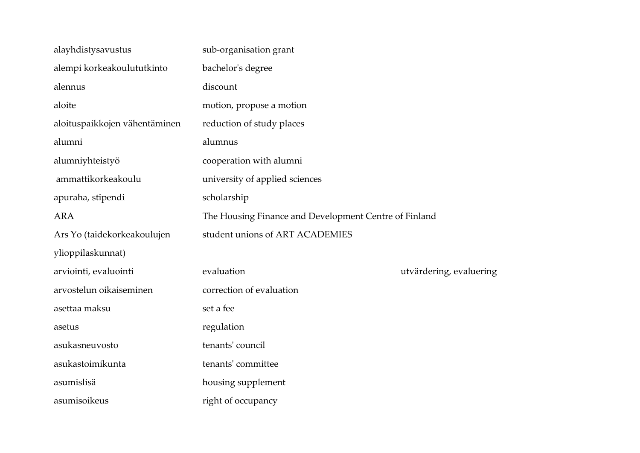| alayhdistysavustus            | sub-organisation grant                                |                         |
|-------------------------------|-------------------------------------------------------|-------------------------|
| alempi korkeakoulututkinto    | bachelor's degree                                     |                         |
| alennus                       | discount                                              |                         |
| aloite                        | motion, propose a motion                              |                         |
| aloituspaikkojen vähentäminen | reduction of study places                             |                         |
| alumni                        | alumnus                                               |                         |
| alumniyhteistyö               | cooperation with alumni                               |                         |
| ammattikorkeakoulu            | university of applied sciences                        |                         |
| apuraha, stipendi             | scholarship                                           |                         |
| <b>ARA</b>                    | The Housing Finance and Development Centre of Finland |                         |
| Ars Yo (taidekorkeakoulujen   | student unions of ART ACADEMIES                       |                         |
| ylioppilaskunnat)             |                                                       |                         |
| arviointi, evaluointi         | evaluation                                            | utvärdering, evaluering |
| arvostelun oikaiseminen       | correction of evaluation                              |                         |
| asettaa maksu                 | set a fee                                             |                         |
| asetus                        | regulation                                            |                         |
| asukasneuvosto                | tenants' council                                      |                         |
| asukastoimikunta              | tenants' committee                                    |                         |
| asumislisä                    | housing supplement                                    |                         |
| asumisoikeus                  | right of occupancy                                    |                         |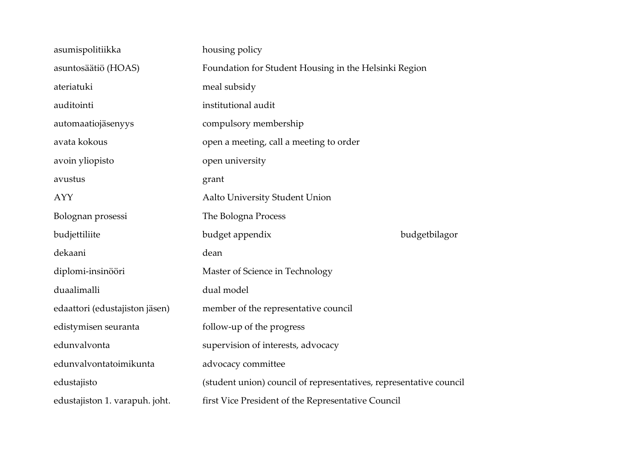| asumispolitiikka               | housing policy                                                     |               |
|--------------------------------|--------------------------------------------------------------------|---------------|
| asuntosäätiö (HOAS)            | Foundation for Student Housing in the Helsinki Region              |               |
| ateriatuki                     | meal subsidy                                                       |               |
| auditointi                     | institutional audit                                                |               |
| automaatiojäsenyys             | compulsory membership                                              |               |
| avata kokous                   | open a meeting, call a meeting to order                            |               |
| avoin yliopisto                | open university                                                    |               |
| avustus                        | grant                                                              |               |
| <b>AYY</b>                     | Aalto University Student Union                                     |               |
| Bolognan prosessi              | The Bologna Process                                                |               |
| budjettiliite                  | budget appendix                                                    | budgetbilagor |
| dekaani                        | dean                                                               |               |
| diplomi-insinööri              | Master of Science in Technology                                    |               |
| duaalimalli                    | dual model                                                         |               |
| edaattori (edustajiston jäsen) | member of the representative council                               |               |
| edistymisen seuranta           | follow-up of the progress                                          |               |
| edunvalvonta                   | supervision of interests, advocacy                                 |               |
| edunvalvontatoimikunta         | advocacy committee                                                 |               |
| edustajisto                    | (student union) council of representatives, representative council |               |
| edustajiston 1. varapuh. joht. | first Vice President of the Representative Council                 |               |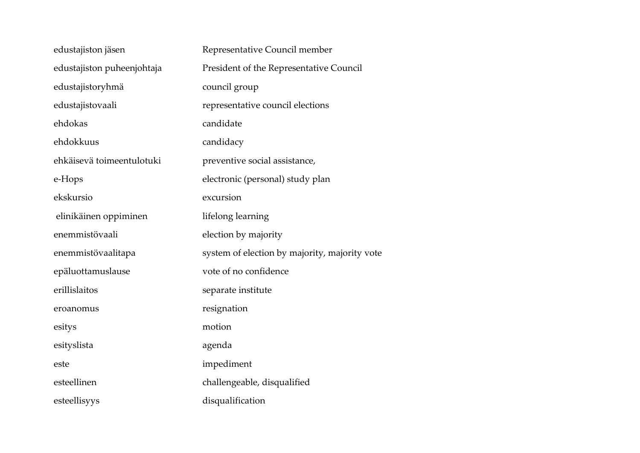| edustajiston jäsen         | Representative Council member                 |
|----------------------------|-----------------------------------------------|
| edustajiston puheenjohtaja | President of the Representative Council       |
| edustajistoryhmä           | council group                                 |
| edustajistovaali           | representative council elections              |
| ehdokas                    | candidate                                     |
| ehdokkuus                  | candidacy                                     |
| ehkäisevä toimeentulotuki  | preventive social assistance,                 |
| e-Hops                     | electronic (personal) study plan              |
| ekskursio                  | excursion                                     |
| elinikäinen oppiminen      | lifelong learning                             |
| enemmistövaali             | election by majority                          |
| enemmistövaalitapa         | system of election by majority, majority vote |
| epäluottamuslause          | vote of no confidence                         |
| erillislaitos              | separate institute                            |
| eroanomus                  | resignation                                   |
| esitys                     | motion                                        |
| esityslista                | agenda                                        |
| este                       | impediment                                    |
| esteellinen                | challengeable, disqualified                   |
| esteellisyys               | disqualification                              |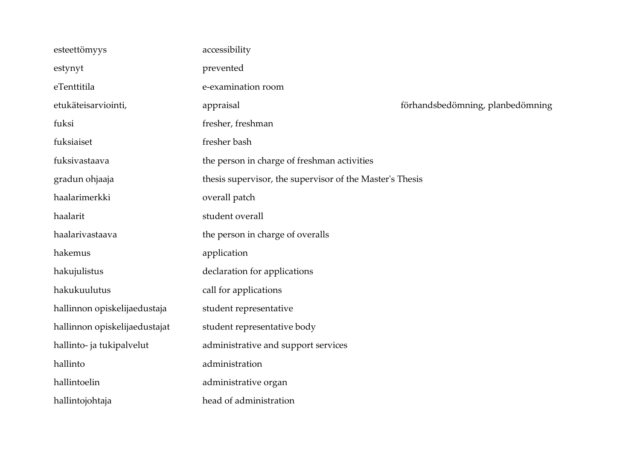| esteettömyys                  | accessibility                                            |                                  |
|-------------------------------|----------------------------------------------------------|----------------------------------|
| estynyt                       | prevented                                                |                                  |
| eTenttitila                   | e-examination room                                       |                                  |
| etukäteisarviointi,           | appraisal                                                | förhandsbedömning, planbedömning |
| fuksi                         | fresher, freshman                                        |                                  |
| fuksiaiset                    | fresher bash                                             |                                  |
| fuksivastaava                 | the person in charge of freshman activities              |                                  |
| gradun ohjaaja                | thesis supervisor, the supervisor of the Master's Thesis |                                  |
| haalarimerkki                 | overall patch                                            |                                  |
| haalarit                      | student overall                                          |                                  |
| haalarivastaava               | the person in charge of overalls                         |                                  |
| hakemus                       | application                                              |                                  |
| hakujulistus                  | declaration for applications                             |                                  |
| hakukuulutus                  | call for applications                                    |                                  |
| hallinnon opiskelijaedustaja  | student representative                                   |                                  |
| hallinnon opiskelijaedustajat | student representative body                              |                                  |
| hallinto- ja tukipalvelut     | administrative and support services                      |                                  |
| hallinto                      | administration                                           |                                  |
| hallintoelin                  | administrative organ                                     |                                  |
| hallintojohtaja               | head of administration                                   |                                  |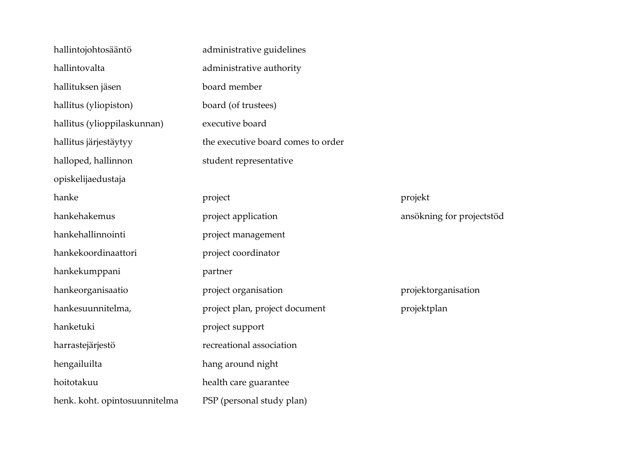| hallintojohtosääntö           | administrative guidelines          |                           |
|-------------------------------|------------------------------------|---------------------------|
| hallintovalta                 | administrative authority           |                           |
| hallituksen jäsen             | board member                       |                           |
| hallitus (yliopiston)         | board (of trustees)                |                           |
| hallitus (ylioppilaskunnan)   | executive board                    |                           |
| hallitus järjestäytyy         | the executive board comes to order |                           |
| halloped, hallinnon           | student representative             |                           |
| opiskelijaedustaja            |                                    |                           |
| hanke                         | project                            | projekt                   |
| hankehakemus                  | project application                | ansökning for projectstöd |
| hankehallinnointi             | project management                 |                           |
| hankekoordinaattori           | project coordinator                |                           |
| hankekumppani                 | partner                            |                           |
| hankeorganisaatio             | project organisation               | projektorganisation       |
| hankesuunnitelma,             | project plan, project document     | projektplan               |
| hanketuki                     | project support                    |                           |
| harrastejärjestö              | recreational association           |                           |
| hengailuilta                  | hang around night                  |                           |
| hoitotakuu                    | health care guarantee              |                           |
| henk. koht. opintosuunnitelma | PSP (personal study plan)          |                           |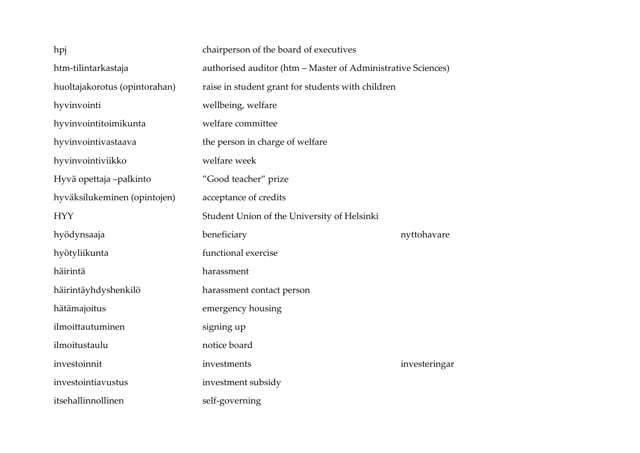| hpj                           | chairperson of the board of executives                       |               |
|-------------------------------|--------------------------------------------------------------|---------------|
| htm-tilintarkastaja           | authorised auditor (htm - Master of Administrative Sciences) |               |
| huoltajakorotus (opintorahan) | raise in student grant for students with children            |               |
| hyvinvointi                   | wellbeing, welfare                                           |               |
| hyvinvointitoimikunta         | welfare committee                                            |               |
| hyvinvointivastaava           | the person in charge of welfare                              |               |
| hyvinvointiviikko             | welfare week                                                 |               |
| Hyvä opettaja -palkinto       | "Good teacher" prize                                         |               |
| hyväksilukeminen (opintojen)  | acceptance of credits                                        |               |
| <b>HYY</b>                    | Student Union of the University of Helsinki                  |               |
| hyödynsaaja                   | beneficiary                                                  | nyttohavare   |
|                               |                                                              |               |
| hyötyliikunta                 | functional exercise                                          |               |
| häirintä                      | harassment                                                   |               |
| häirintäyhdyshenkilö          | harassment contact person                                    |               |
| hätämajoitus                  | emergency housing                                            |               |
| ilmoittautuminen              | signing up                                                   |               |
| ilmoitustaulu                 | notice board                                                 |               |
| investoinnit                  | investments                                                  | investeringar |
| investointiavustus            | investment subsidy                                           |               |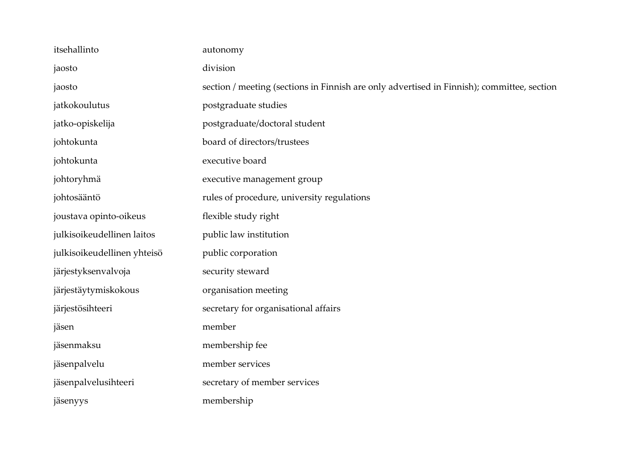| itsehallinto                | autonomy                                                                                   |
|-----------------------------|--------------------------------------------------------------------------------------------|
| jaosto                      | division                                                                                   |
| jaosto                      | section / meeting (sections in Finnish are only advertised in Finnish); committee, section |
| jatkokoulutus               | postgraduate studies                                                                       |
| jatko-opiskelija            | postgraduate/doctoral student                                                              |
| johtokunta                  | board of directors/trustees                                                                |
| johtokunta                  | executive board                                                                            |
| johtoryhmä                  | executive management group                                                                 |
| johtosääntö                 | rules of procedure, university regulations                                                 |
| joustava opinto-oikeus      | flexible study right                                                                       |
| julkisoikeudellinen laitos  | public law institution                                                                     |
| julkisoikeudellinen yhteisö | public corporation                                                                         |
| järjestyksenvalvoja         | security steward                                                                           |
| järjestäytymiskokous        | organisation meeting                                                                       |
| järjestösihteeri            | secretary for organisational affairs                                                       |
| jäsen                       | member                                                                                     |
| jäsenmaksu                  | membership fee                                                                             |
| jäsenpalvelu                | member services                                                                            |
| jäsenpalvelusihteeri        | secretary of member services                                                               |
| jäsenyys                    | membership                                                                                 |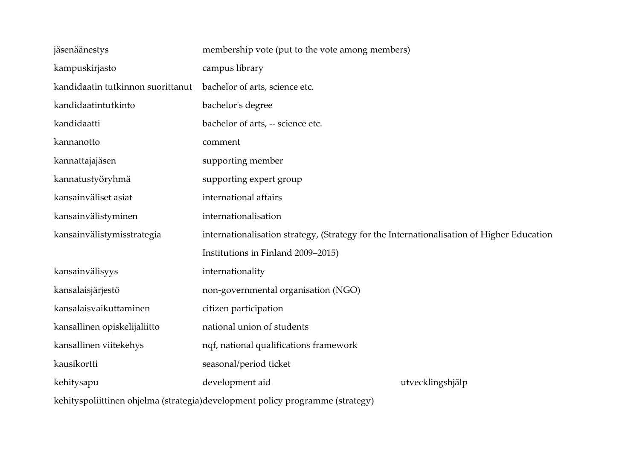| jäsenäänestys                                                                 | membership vote (put to the vote among members)                                           |                  |
|-------------------------------------------------------------------------------|-------------------------------------------------------------------------------------------|------------------|
| kampuskirjasto                                                                | campus library                                                                            |                  |
| kandidaatin tutkinnon suorittanut                                             | bachelor of arts, science etc.                                                            |                  |
| kandidaatintutkinto                                                           | bachelor's degree                                                                         |                  |
| kandidaatti                                                                   | bachelor of arts, -- science etc.                                                         |                  |
| kannanotto                                                                    | comment                                                                                   |                  |
| kannattajajäsen                                                               | supporting member                                                                         |                  |
| kannatustyöryhmä                                                              | supporting expert group                                                                   |                  |
| kansainväliset asiat                                                          | international affairs                                                                     |                  |
| kansainvälistyminen                                                           | internationalisation                                                                      |                  |
| kansainvälistymisstrategia                                                    | internationalisation strategy, (Strategy for the Internationalisation of Higher Education |                  |
|                                                                               | Institutions in Finland 2009-2015)                                                        |                  |
| kansainvälisyys                                                               | internationality                                                                          |                  |
| kansalaisjärjestö                                                             | non-governmental organisation (NGO)                                                       |                  |
| kansalaisvaikuttaminen                                                        | citizen participation                                                                     |                  |
| kansallinen opiskelijaliitto                                                  | national union of students                                                                |                  |
| kansallinen viitekehys                                                        | nqf, national qualifications framework                                                    |                  |
| kausikortti                                                                   | seasonal/period ticket                                                                    |                  |
| kehitysapu                                                                    | development aid                                                                           | utvecklingshjälp |
| kehityspoliittinen ohjelma (strategia)development policy programme (strategy) |                                                                                           |                  |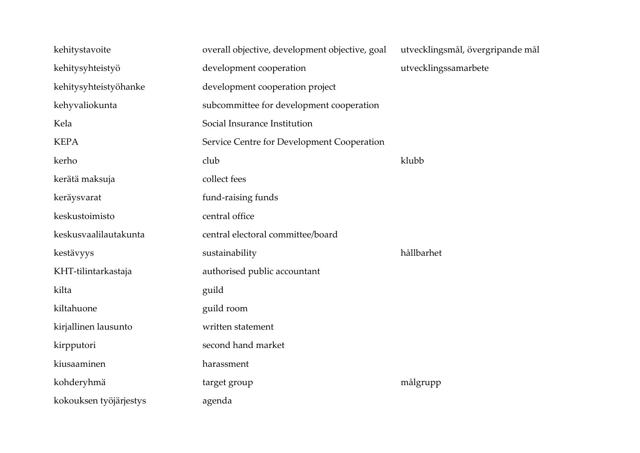| kehitystavoite         | overall objective, development objective, goal | utvecklingsmål, övergripande mål |
|------------------------|------------------------------------------------|----------------------------------|
| kehitysyhteistyö       | development cooperation                        | utvecklingssamarbete             |
| kehitysyhteistyöhanke  | development cooperation project                |                                  |
| kehyvaliokunta         | subcommittee for development cooperation       |                                  |
| Kela                   | Social Insurance Institution                   |                                  |
| <b>KEPA</b>            | Service Centre for Development Cooperation     |                                  |
| kerho                  | club                                           | klubb                            |
| kerätä maksuja         | collect fees                                   |                                  |
| keräysvarat            | fund-raising funds                             |                                  |
| keskustoimisto         | central office                                 |                                  |
| keskusvaalilautakunta  | central electoral committee/board              |                                  |
| kestävyys              | sustainability                                 | hållbarhet                       |
| KHT-tilintarkastaja    | authorised public accountant                   |                                  |
| kilta                  | guild                                          |                                  |
| kiltahuone             | guild room                                     |                                  |
| kirjallinen lausunto   | written statement                              |                                  |
| kirpputori             | second hand market                             |                                  |
| kiusaaminen            | harassment                                     |                                  |
| kohderyhmä             | target group                                   | målgrupp                         |
| kokouksen työjärjestys | agenda                                         |                                  |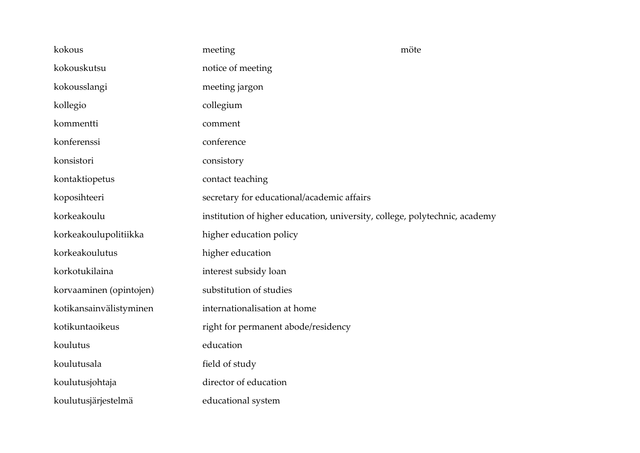| kokous                  | meeting                                                                    | möte |
|-------------------------|----------------------------------------------------------------------------|------|
| kokouskutsu             | notice of meeting                                                          |      |
| kokousslangi            | meeting jargon                                                             |      |
| kollegio                | collegium                                                                  |      |
| kommentti               | comment                                                                    |      |
| konferenssi             | conference                                                                 |      |
| konsistori              | consistory                                                                 |      |
| kontaktiopetus          | contact teaching                                                           |      |
| koposihteeri            | secretary for educational/academic affairs                                 |      |
| korkeakoulu             | institution of higher education, university, college, polytechnic, academy |      |
| korkeakoulupolitiikka   | higher education policy                                                    |      |
| korkeakoulutus          | higher education                                                           |      |
| korkotukilaina          | interest subsidy loan                                                      |      |
| korvaaminen (opintojen) | substitution of studies                                                    |      |
| kotikansainvälistyminen | internationalisation at home                                               |      |
| kotikuntaoikeus         | right for permanent abode/residency                                        |      |
| koulutus                | education                                                                  |      |
| koulutusala             | field of study                                                             |      |
| koulutusjohtaja         | director of education                                                      |      |
| koulutusjärjestelmä     | educational system                                                         |      |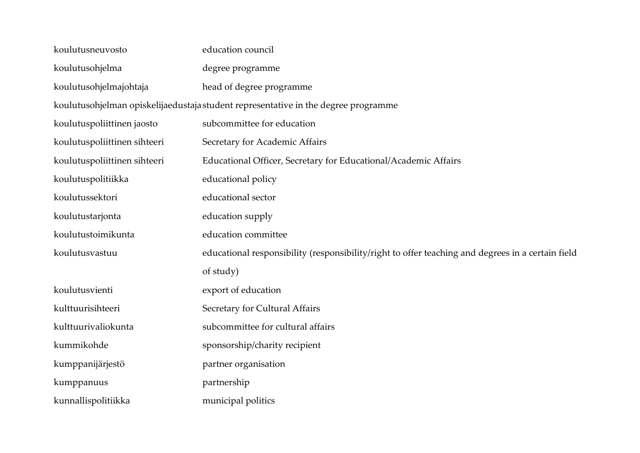| koulutusneuvosto                                                                   | education council                                                                                 |  |
|------------------------------------------------------------------------------------|---------------------------------------------------------------------------------------------------|--|
| koulutusohjelma                                                                    | degree programme                                                                                  |  |
| koulutusohjelmajohtaja                                                             | head of degree programme                                                                          |  |
| koulutusohjelman opiskelijaedustaja student representative in the degree programme |                                                                                                   |  |
| koulutuspoliittinen jaosto                                                         | subcommittee for education                                                                        |  |
| koulutuspoliittinen sihteeri                                                       | Secretary for Academic Affairs                                                                    |  |
| koulutuspoliittinen sihteeri                                                       | Educational Officer, Secretary for Educational/Academic Affairs                                   |  |
| koulutuspolitiikka                                                                 | educational policy                                                                                |  |
| koulutussektori                                                                    | educational sector                                                                                |  |
| koulutustarjonta                                                                   | education supply                                                                                  |  |
| koulutustoimikunta                                                                 | education committee                                                                               |  |
| koulutusvastuu                                                                     | educational responsibility (responsibility/right to offer teaching and degrees in a certain field |  |
|                                                                                    | of study)                                                                                         |  |
| koulutusvienti                                                                     | export of education                                                                               |  |
| kulttuurisihteeri                                                                  | Secretary for Cultural Affairs                                                                    |  |
| kulttuurivaliokunta                                                                | subcommittee for cultural affairs                                                                 |  |
| kummikohde                                                                         | sponsorship/charity recipient                                                                     |  |
| kumppanijärjestö                                                                   | partner organisation                                                                              |  |
| kumppanuus                                                                         | partnership                                                                                       |  |
| kunnallispolitiikka                                                                | municipal politics                                                                                |  |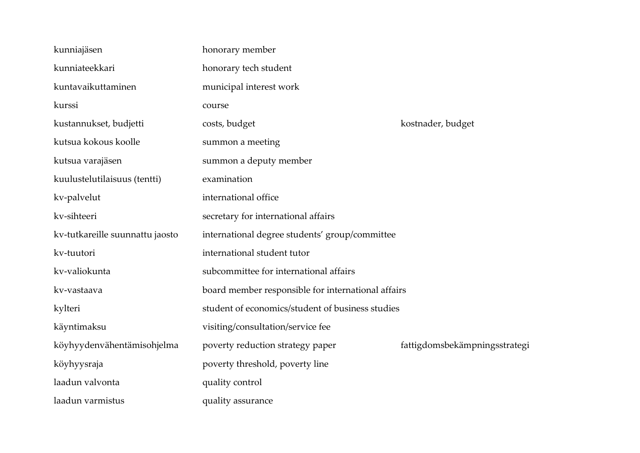| kunniajäsen                     | honorary member                                    |                               |
|---------------------------------|----------------------------------------------------|-------------------------------|
| kunniateekkari                  | honorary tech student                              |                               |
| kuntavaikuttaminen              | municipal interest work                            |                               |
| kurssi                          | course                                             |                               |
| kustannukset, budjetti          | costs, budget                                      | kostnader, budget             |
| kutsua kokous koolle            | summon a meeting                                   |                               |
| kutsua varajäsen                | summon a deputy member                             |                               |
| kuulustelutilaisuus (tentti)    | examination                                        |                               |
| kv-palvelut                     | international office                               |                               |
| kv-sihteeri                     | secretary for international affairs                |                               |
| kv-tutkareille suunnattu jaosto | international degree students' group/committee     |                               |
| kv-tuutori                      | international student tutor                        |                               |
| kv-valiokunta                   | subcommittee for international affairs             |                               |
| kv-vastaava                     | board member responsible for international affairs |                               |
| kylteri                         | student of economics/student of business studies   |                               |
| käyntimaksu                     | visiting/consultation/service fee                  |                               |
| köyhyydenvähentämisohjelma      | poverty reduction strategy paper                   | fattigdomsbekämpningsstrategi |
| köyhyysraja                     | poverty threshold, poverty line                    |                               |
| laadun valvonta                 | quality control                                    |                               |
| laadun varmistus                | quality assurance                                  |                               |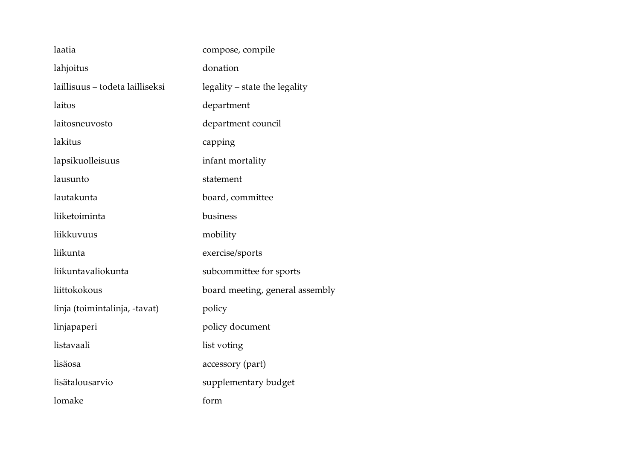| laatia                          | compose, compile                |
|---------------------------------|---------------------------------|
| lahjoitus                       | donation                        |
| laillisuus – todeta lailliseksi | legality – state the legality   |
| laitos                          | department                      |
| laitosneuvosto                  | department council              |
| lakitus                         | capping                         |
| lapsikuolleisuus                | infant mortality                |
| lausunto                        | statement                       |
| lautakunta                      | board, committee                |
| liiketoiminta                   | business                        |
| liikkuvuus                      | mobility                        |
| liikunta                        | exercise/sports                 |
| liikuntavaliokunta              | subcommittee for sports         |
| liittokokous                    | board meeting, general assembly |
| linja (toimintalinja, -tavat)   | policy                          |
| linjapaperi                     | policy document                 |
| listavaali                      | list voting                     |
| lisäosa                         | accessory (part)                |
| lisätalousarvio                 | supplementary budget            |
| lomake                          | form                            |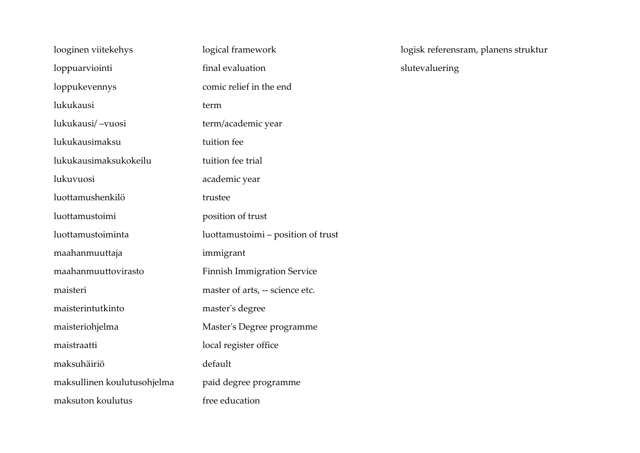| looginen viitekehys         | logical framework                  |
|-----------------------------|------------------------------------|
| loppuarviointi              | final evaluation                   |
| loppukevennys               | comic relief in the end            |
| lukukausi                   | term                               |
| lukukausi/-vuosi            | term/academic year                 |
| lukukausimaksu              | tuition fee                        |
| lukukausimaksukokeilu       | tuition fee trial                  |
| lukuvuosi                   | academic year                      |
| luottamushenkilö            | trustee                            |
| luottamustoimi              | position of trust                  |
| luottamustoiminta           | luottamustoimi – position of trust |
| maahanmuuttaja              | immigrant                          |
| maahanmuuttovirasto         | <b>Finnish Immigration Service</b> |
| maisteri                    | master of arts, -- science etc.    |
| maisterintutkinto           | master's degree                    |
| maisteriohjelma             | Master's Degree programme          |
| maistraatti                 | local register office              |
| maksuhäiriö                 | default                            |
| maksullinen koulutusohjelma | paid degree programme              |
| maksuton koulutus           | free education                     |

logisk referensram, planens struktur slutevaluering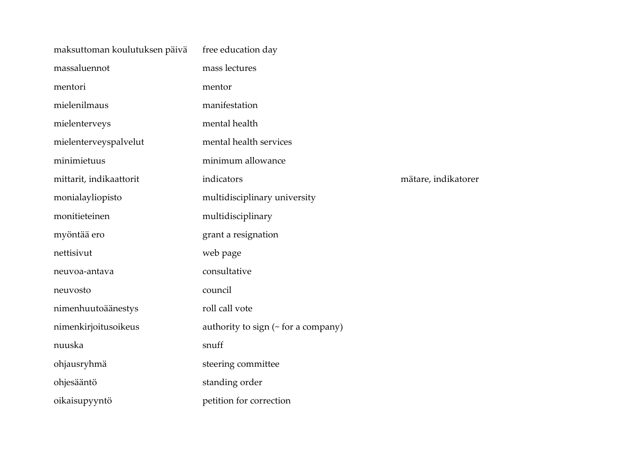| maksuttoman koulutuksen päivä | free education day                        |                     |
|-------------------------------|-------------------------------------------|---------------------|
| massaluennot                  | mass lectures                             |                     |
| mentori                       | mentor                                    |                     |
| mielenilmaus                  | manifestation                             |                     |
| mielenterveys                 | mental health                             |                     |
| mielenterveyspalvelut         | mental health services                    |                     |
| minimietuus                   | minimum allowance                         |                     |
| mittarit, indikaattorit       | indicators                                | mätare, indikatorer |
| monialayliopisto              | multidisciplinary university              |                     |
| monitieteinen                 | multidisciplinary                         |                     |
| myöntää ero                   | grant a resignation                       |                     |
| nettisivut                    | web page                                  |                     |
| neuvoa-antava                 | consultative                              |                     |
| neuvosto                      | council                                   |                     |
| nimenhuutoäänestys            | roll call vote                            |                     |
| nimenkirjoitusoikeus          | authority to sign ( $\sim$ for a company) |                     |
| nuuska                        | snuff                                     |                     |
| ohjausryhmä                   | steering committee                        |                     |
| ohjesääntö                    | standing order                            |                     |
| oikaisupyyntö                 | petition for correction                   |                     |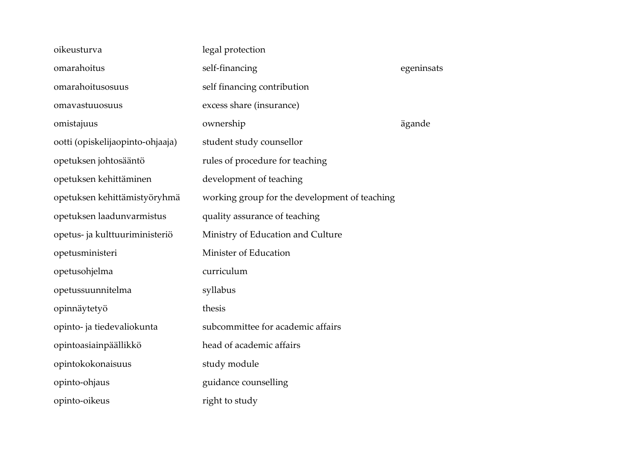| oikeusturva                      | legal protection                              |            |
|----------------------------------|-----------------------------------------------|------------|
| omarahoitus                      | self-financing                                | egeninsats |
| omarahoitusosuus                 | self financing contribution                   |            |
| omavastuuosuus                   | excess share (insurance)                      |            |
| omistajuus                       | ownership                                     | ägande     |
| ootti (opiskelijaopinto-ohjaaja) | student study counsellor                      |            |
| opetuksen johtosääntö            | rules of procedure for teaching               |            |
| opetuksen kehittäminen           | development of teaching                       |            |
| opetuksen kehittämistyöryhmä     | working group for the development of teaching |            |
| opetuksen laadunvarmistus        | quality assurance of teaching                 |            |
| opetus- ja kulttuuriministeriö   | Ministry of Education and Culture             |            |
| opetusministeri                  | Minister of Education                         |            |
| opetusohjelma                    | curriculum                                    |            |
| opetussuunnitelma                | syllabus                                      |            |
| opinnäytetyö                     | thesis                                        |            |
| opinto- ja tiedevaliokunta       | subcommittee for academic affairs             |            |
| opintoasiainpäällikkö            | head of academic affairs                      |            |
| opintokokonaisuus                | study module                                  |            |
| opinto-ohjaus                    | guidance counselling                          |            |
| opinto-oikeus                    | right to study                                |            |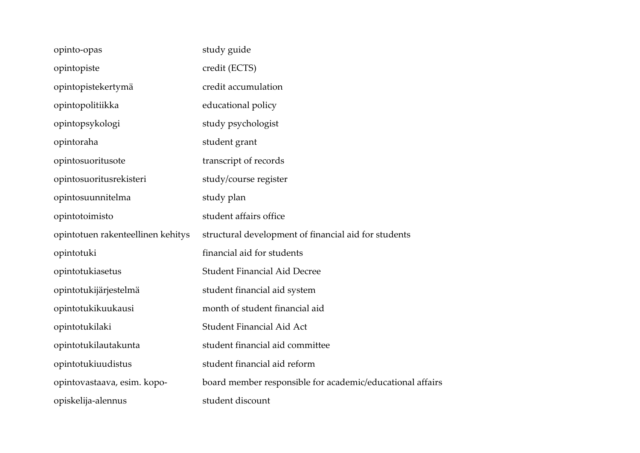| opinto-opas                       | study guide                                               |
|-----------------------------------|-----------------------------------------------------------|
| opintopiste                       | credit (ECTS)                                             |
| opintopistekertymä                | credit accumulation                                       |
| opintopolitiikka                  | educational policy                                        |
| opintopsykologi                   | study psychologist                                        |
| opintoraha                        | student grant                                             |
| opintosuoritusote                 | transcript of records                                     |
| opintosuoritusrekisteri           | study/course register                                     |
| opintosuunnitelma                 | study plan                                                |
| opintotoimisto                    | student affairs office                                    |
|                                   |                                                           |
| opintotuen rakenteellinen kehitys | structural development of financial aid for students      |
| opintotuki                        | financial aid for students                                |
| opintotukiasetus                  | <b>Student Financial Aid Decree</b>                       |
| opintotukijärjestelmä             | student financial aid system                              |
| opintotukikuukausi                | month of student financial aid                            |
| opintotukilaki                    | Student Financial Aid Act                                 |
| opintotukilautakunta              | student financial aid committee                           |
| opintotukiuudistus                | student financial aid reform                              |
| opintovastaava, esim. kopo-       | board member responsible for academic/educational affairs |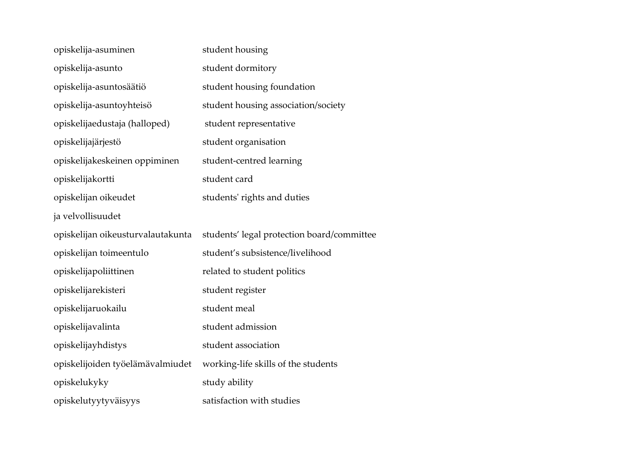| opiskelija-asuminen               | student housing                            |
|-----------------------------------|--------------------------------------------|
| opiskelija-asunto                 | student dormitory                          |
| opiskelija-asuntosäätiö           | student housing foundation                 |
| opiskelija-asuntoyhteisö          | student housing association/society        |
| opiskelijaedustaja (halloped)     | student representative                     |
| opiskelijajärjestö                | student organisation                       |
| opiskelijakeskeinen oppiminen     | student-centred learning                   |
| opiskelijakortti                  | student card                               |
| opiskelijan oikeudet              | students' rights and duties                |
| ja velvollisuudet                 |                                            |
|                                   |                                            |
| opiskelijan oikeusturvalautakunta | students' legal protection board/committee |
| opiskelijan toimeentulo           | student's subsistence/livelihood           |
| opiskelijapoliittinen             | related to student politics                |
| opiskelijarekisteri               | student register                           |
| opiskelijaruokailu                | student meal                               |
| opiskelijavalinta                 | student admission                          |
| opiskelijayhdistys                | student association                        |
| opiskelijoiden työelämävalmiudet  | working-life skills of the students        |
| opiskelukyky                      | study ability                              |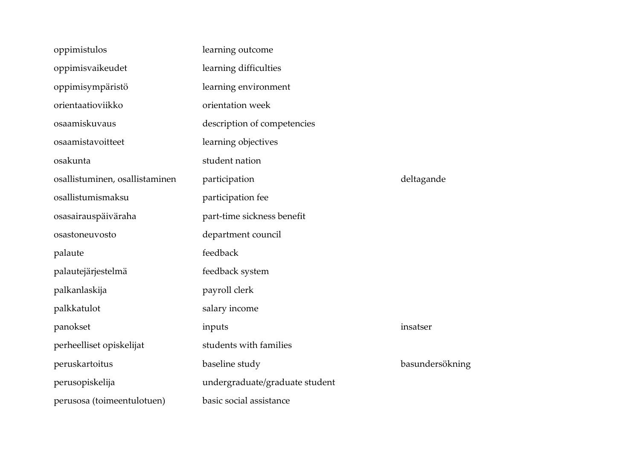| oppimistulos                   | learning outcome               |                 |
|--------------------------------|--------------------------------|-----------------|
| oppimisvaikeudet               | learning difficulties          |                 |
| oppimisympäristö               | learning environment           |                 |
| orientaatioviikko              | orientation week               |                 |
| osaamiskuvaus                  | description of competencies    |                 |
| osaamistavoitteet              | learning objectives            |                 |
| osakunta                       | student nation                 |                 |
| osallistuminen, osallistaminen | participation                  | deltagande      |
| osallistumismaksu              | participation fee              |                 |
| osasairauspäiväraha            | part-time sickness benefit     |                 |
| osastoneuvosto                 | department council             |                 |
| palaute                        | feedback                       |                 |
| palautejärjestelmä             | feedback system                |                 |
| palkanlaskija                  |                                |                 |
|                                | payroll clerk                  |                 |
| palkkatulot                    | salary income                  |                 |
| panokset                       | inputs                         | insatser        |
| perheelliset opiskelijat       | students with families         |                 |
| peruskartoitus                 | baseline study                 | basundersökning |
| perusopiskelija                | undergraduate/graduate student |                 |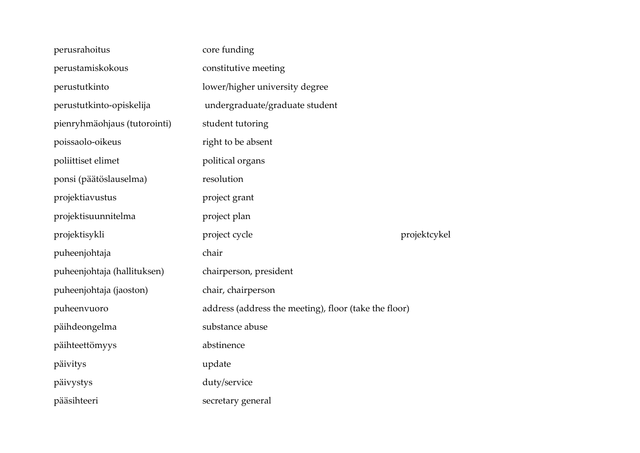| perusrahoitus                | core funding                                          |              |
|------------------------------|-------------------------------------------------------|--------------|
| perustamiskokous             | constitutive meeting                                  |              |
| perustutkinto                | lower/higher university degree                        |              |
| perustutkinto-opiskelija     | undergraduate/graduate student                        |              |
| pienryhmäohjaus (tutorointi) | student tutoring                                      |              |
| poissaolo-oikeus             | right to be absent                                    |              |
| poliittiset elimet           | political organs                                      |              |
| ponsi (päätöslauselma)       | resolution                                            |              |
| projektiavustus              | project grant                                         |              |
| projektisuunnitelma          | project plan                                          |              |
| projektisykli                | project cycle                                         | projektcykel |
| puheenjohtaja                | chair                                                 |              |
| puheenjohtaja (hallituksen)  | chairperson, president                                |              |
| puheenjohtaja (jaoston)      | chair, chairperson                                    |              |
| puheenvuoro                  | address (address the meeting), floor (take the floor) |              |
| päihdeongelma                | substance abuse                                       |              |
| päihteettömyys               | abstinence                                            |              |
| päivitys                     | update                                                |              |
| päivystys                    | duty/service                                          |              |
| pääsihteeri                  | secretary general                                     |              |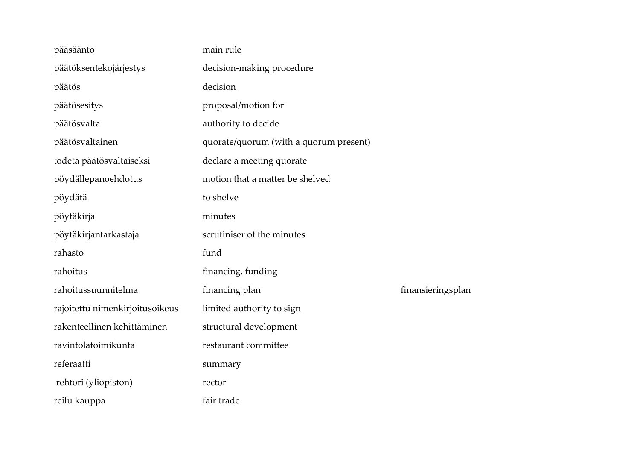| pääsääntö                       | main rule                              |                   |
|---------------------------------|----------------------------------------|-------------------|
| päätöksentekojärjestys          | decision-making procedure              |                   |
| päätös                          | decision                               |                   |
| päätösesitys                    | proposal/motion for                    |                   |
| päätösvalta                     | authority to decide                    |                   |
| päätösvaltainen                 | quorate/quorum (with a quorum present) |                   |
| todeta päätösvaltaiseksi        | declare a meeting quorate              |                   |
| pöydällepanoehdotus             | motion that a matter be shelved        |                   |
| pöydätä                         | to shelve                              |                   |
| pöytäkirja                      | minutes                                |                   |
| pöytäkirjantarkastaja           | scrutiniser of the minutes             |                   |
| rahasto                         | fund                                   |                   |
| rahoitus                        | financing, funding                     |                   |
| rahoitussuunnitelma             | financing plan                         | finansieringsplan |
| rajoitettu nimenkirjoitusoikeus | limited authority to sign              |                   |
| rakenteellinen kehittäminen     | structural development                 |                   |
| ravintolatoimikunta             | restaurant committee                   |                   |
| referaatti                      | summary                                |                   |
| rehtori (yliopiston)            | rector                                 |                   |
| reilu kauppa                    | fair trade                             |                   |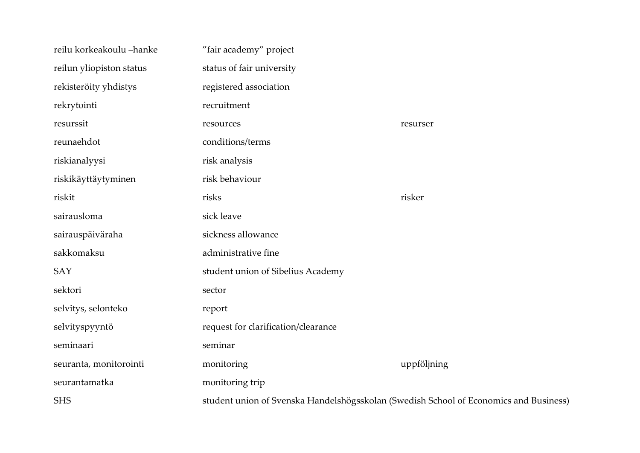| reilu korkeakoulu -hanke | "fair academy" project                                                                |             |
|--------------------------|---------------------------------------------------------------------------------------|-------------|
| reilun yliopiston status | status of fair university                                                             |             |
| rekisteröity yhdistys    | registered association                                                                |             |
| rekrytointi              | recruitment                                                                           |             |
| resurssit                | resources                                                                             | resurser    |
| reunaehdot               | conditions/terms                                                                      |             |
| riskianalyysi            | risk analysis                                                                         |             |
| riskikäyttäytyminen      | risk behaviour                                                                        |             |
| riskit                   | risks                                                                                 | risker      |
| sairausloma              | sick leave                                                                            |             |
| sairauspäiväraha         | sickness allowance                                                                    |             |
| sakkomaksu               | administrative fine                                                                   |             |
| SAY                      | student union of Sibelius Academy                                                     |             |
| sektori                  | sector                                                                                |             |
| selvitys, selonteko      | report                                                                                |             |
| selvityspyyntö           | request for clarification/clearance                                                   |             |
| seminaari                | seminar                                                                               |             |
| seuranta, monitorointi   | monitoring                                                                            | uppföljning |
| seurantamatka            | monitoring trip                                                                       |             |
| <b>SHS</b>               | student union of Svenska Handelshögsskolan (Swedish School of Economics and Business) |             |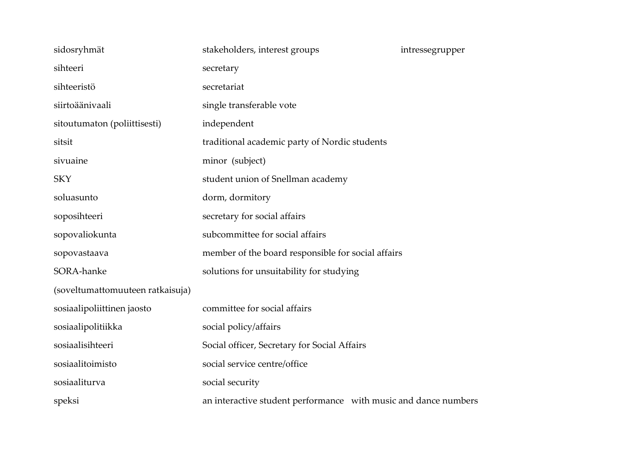| sidosryhmät                      | stakeholders, interest groups                                   | intressegrupper |
|----------------------------------|-----------------------------------------------------------------|-----------------|
| sihteeri                         | secretary                                                       |                 |
| sihteeristö                      | secretariat                                                     |                 |
| siirtoäänivaali                  | single transferable vote                                        |                 |
| sitoutumaton (poliittisesti)     | independent                                                     |                 |
| sitsit                           | traditional academic party of Nordic students                   |                 |
| sivuaine                         | minor (subject)                                                 |                 |
| <b>SKY</b>                       | student union of Snellman academy                               |                 |
| soluasunto                       | dorm, dormitory                                                 |                 |
| soposihteeri                     | secretary for social affairs                                    |                 |
| sopovaliokunta                   | subcommittee for social affairs                                 |                 |
| sopovastaava                     | member of the board responsible for social affairs              |                 |
| SORA-hanke                       | solutions for unsuitability for studying                        |                 |
| (soveltumattomuuteen ratkaisuja) |                                                                 |                 |
| sosiaalipoliittinen jaosto       | committee for social affairs                                    |                 |
| sosiaalipolitiikka               | social policy/affairs                                           |                 |
| sosiaalisihteeri                 | Social officer, Secretary for Social Affairs                    |                 |
| sosiaalitoimisto                 | social service centre/office                                    |                 |
| sosiaaliturva                    | social security                                                 |                 |
| speksi                           | an interactive student performance with music and dance numbers |                 |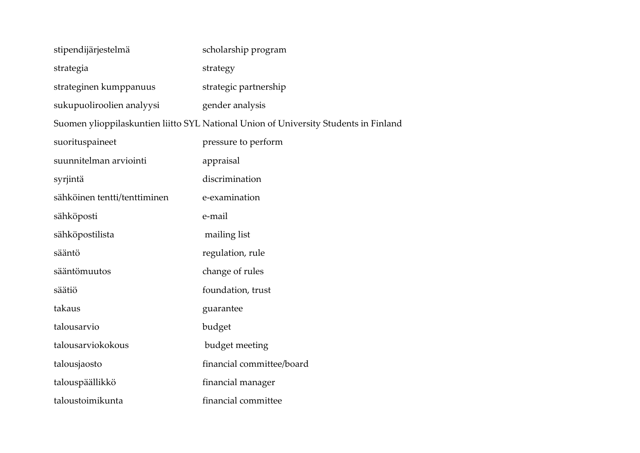| stipendijärjestelmä          | scholarship program                                                                  |
|------------------------------|--------------------------------------------------------------------------------------|
| strategia                    | strategy                                                                             |
| strateginen kumppanuus       | strategic partnership                                                                |
| sukupuoliroolien analyysi    | gender analysis                                                                      |
|                              | Suomen ylioppilaskuntien liitto SYL National Union of University Students in Finland |
| suorituspaineet              | pressure to perform                                                                  |
| suunnitelman arviointi       | appraisal                                                                            |
| syrjintä                     | discrimination                                                                       |
| sähköinen tentti/tenttiminen | e-examination                                                                        |
| sähköposti                   | e-mail                                                                               |
| sähköpostilista              | mailing list                                                                         |
| sääntö                       | regulation, rule                                                                     |
| sääntömuutos                 | change of rules                                                                      |
| säätiö                       | foundation, trust                                                                    |
| takaus                       | guarantee                                                                            |
| talousarvio                  | budget                                                                               |
| talousarviokokous            | budget meeting                                                                       |
| talousjaosto                 | financial committee/board                                                            |
| talouspäällikkö              | financial manager                                                                    |
| taloustoimikunta             | financial committee                                                                  |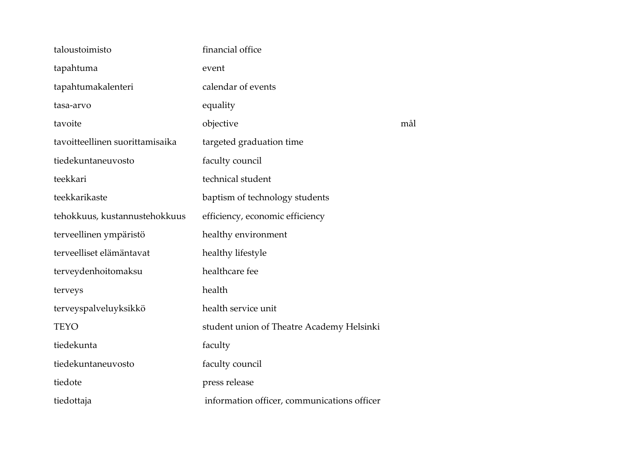| taloustoimisto                  | financial office                            |     |
|---------------------------------|---------------------------------------------|-----|
| tapahtuma                       | event                                       |     |
| tapahtumakalenteri              | calendar of events                          |     |
| tasa-arvo                       | equality                                    |     |
| tavoite                         | objective                                   | mål |
| tavoitteellinen suorittamisaika | targeted graduation time                    |     |
| tiedekuntaneuvosto              | faculty council                             |     |
| teekkari                        | technical student                           |     |
| teekkarikaste                   | baptism of technology students              |     |
| tehokkuus, kustannustehokkuus   | efficiency, economic efficiency             |     |
| terveellinen ympäristö          | healthy environment                         |     |
| terveelliset elämäntavat        | healthy lifestyle                           |     |
| terveydenhoitomaksu             | healthcare fee                              |     |
| terveys                         | health                                      |     |
| terveyspalveluyksikkö           | health service unit                         |     |
| <b>TEYO</b>                     | student union of Theatre Academy Helsinki   |     |
| tiedekunta                      | faculty                                     |     |
| tiedekuntaneuvosto              | faculty council                             |     |
| tiedote                         | press release                               |     |
| tiedottaja                      | information officer, communications officer |     |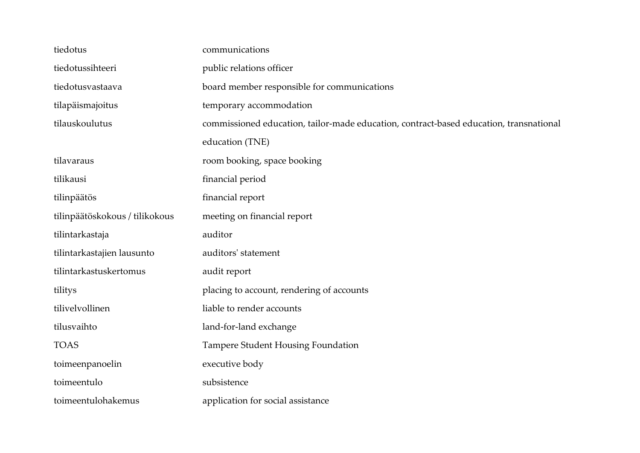| tiedotus                       | communications                                                                         |  |  |
|--------------------------------|----------------------------------------------------------------------------------------|--|--|
| tiedotussihteeri               | public relations officer                                                               |  |  |
| tiedotusvastaava               | board member responsible for communications                                            |  |  |
| tilapäismajoitus               | temporary accommodation                                                                |  |  |
| tilauskoulutus                 | commissioned education, tailor-made education, contract-based education, transnational |  |  |
|                                | education (TNE)                                                                        |  |  |
| tilavaraus                     | room booking, space booking                                                            |  |  |
| tilikausi                      | financial period                                                                       |  |  |
| tilinpäätös                    | financial report                                                                       |  |  |
| tilinpäätöskokous / tilikokous | meeting on financial report                                                            |  |  |
| tilintarkastaja                | auditor                                                                                |  |  |
| tilintarkastajien lausunto     | auditors' statement                                                                    |  |  |
| tilintarkastuskertomus         | audit report                                                                           |  |  |
| tilitys                        | placing to account, rendering of accounts                                              |  |  |
| tilivelvollinen                | liable to render accounts                                                              |  |  |
| tilusvaihto                    | land-for-land exchange                                                                 |  |  |
| <b>TOAS</b>                    | Tampere Student Housing Foundation                                                     |  |  |
| toimeenpanoelin                | executive body                                                                         |  |  |
| toimeentulo                    | subsistence                                                                            |  |  |
| toimeentulohakemus             | application for social assistance                                                      |  |  |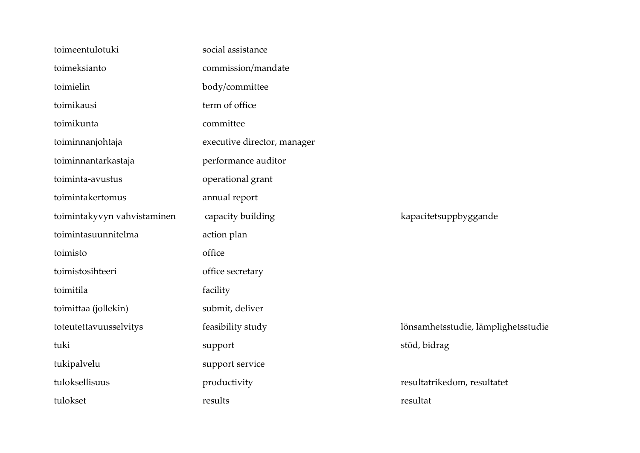| toimeentulotuki             | social assistance           |                                     |
|-----------------------------|-----------------------------|-------------------------------------|
| toimeksianto                | commission/mandate          |                                     |
| toimielin                   | body/committee              |                                     |
| toimikausi                  | term of office              |                                     |
| toimikunta                  | committee                   |                                     |
| toiminnanjohtaja            | executive director, manager |                                     |
| toiminnantarkastaja         | performance auditor         |                                     |
| toiminta-avustus            | operational grant           |                                     |
| toimintakertomus            | annual report               |                                     |
| toimintakyvyn vahvistaminen | capacity building           | kapacitetsuppbyggande               |
| toimintasuunnitelma         | action plan                 |                                     |
| toimisto                    | office                      |                                     |
| toimistosihteeri            | office secretary            |                                     |
| toimitila                   | facility                    |                                     |
| toimittaa (jollekin)        | submit, deliver             |                                     |
| toteutettavuusselvitys      | feasibility study           | lönsamhetsstudie, lämplighetsstudie |
| tuki                        | support                     | stöd, bidrag                        |
| tukipalvelu                 | support service             |                                     |
| tuloksellisuus              | productivity                | resultatrikedom, resultatet         |
| tulokset                    | results                     | resultat                            |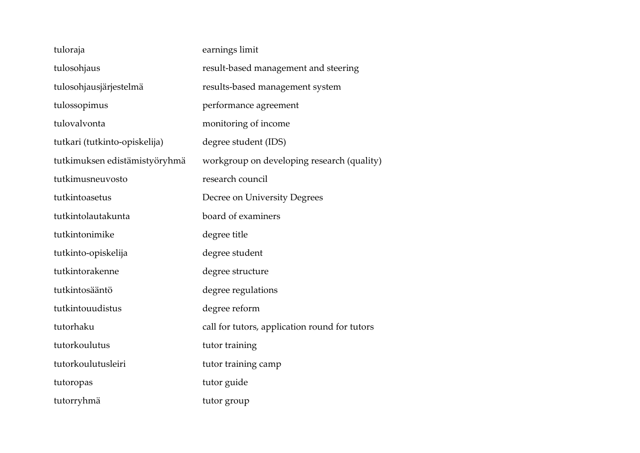| tuloraja                      | earnings limit                                |
|-------------------------------|-----------------------------------------------|
| tulosohjaus                   | result-based management and steering          |
| tulosohjausjärjestelmä        | results-based management system               |
| tulossopimus                  | performance agreement                         |
| tulovalvonta                  | monitoring of income                          |
| tutkari (tutkinto-opiskelija) | degree student (IDS)                          |
| tutkimuksen edistämistyöryhmä | workgroup on developing research (quality)    |
| tutkimusneuvosto              | research council                              |
| tutkintoasetus                | Decree on University Degrees                  |
| tutkintolautakunta            | board of examiners                            |
| tutkintonimike                | degree title                                  |
| tutkinto-opiskelija           | degree student                                |
| tutkintorakenne               | degree structure                              |
| tutkintosääntö                | degree regulations                            |
| tutkintouudistus              | degree reform                                 |
| tutorhaku                     | call for tutors, application round for tutors |
| tutorkoulutus                 | tutor training                                |
| tutorkoulutusleiri            | tutor training camp                           |
| tutoropas                     | tutor guide                                   |
| tutorryhmä                    | tutor group                                   |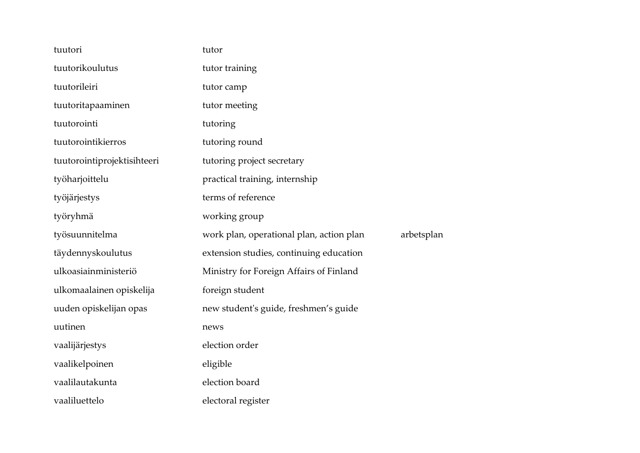| tuutori                     | tutor                                                  |
|-----------------------------|--------------------------------------------------------|
| tuutorikoulutus             | tutor training                                         |
| tuutorileiri                | tutor camp                                             |
| tuutoritapaaminen           | tutor meeting                                          |
| tuutorointi                 | tutoring                                               |
| tuutorointikierros          | tutoring round                                         |
| tuutorointiprojektisihteeri | tutoring project secretary                             |
| työharjoittelu              | practical training, internship                         |
| työjärjestys                | terms of reference                                     |
| työryhmä                    | working group                                          |
| työsuunnitelma              | arbetsplan<br>work plan, operational plan, action plan |
| täydennyskoulutus           | extension studies, continuing education                |
| ulkoasiainministeriö        | Ministry for Foreign Affairs of Finland                |
| ulkomaalainen opiskelija    |                                                        |
|                             | foreign student                                        |
| uuden opiskelijan opas      | new student's guide, freshmen's guide                  |
| uutinen                     | news                                                   |
| vaalijärjestys              | election order                                         |
| vaalikelpoinen              | eligible                                               |
| vaalilautakunta             | election board                                         |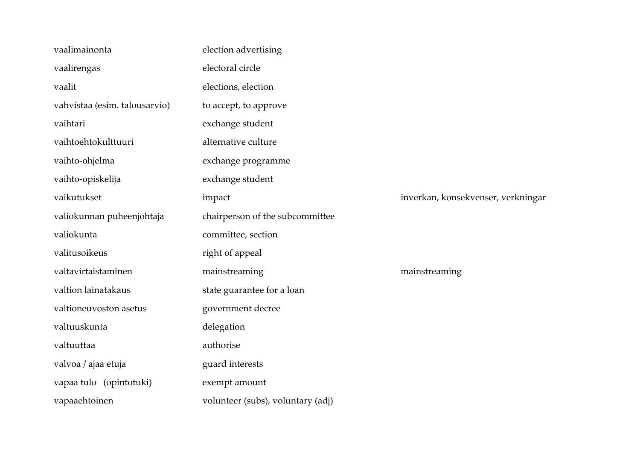| vaalimainonta                 | election advertising              |                                    |
|-------------------------------|-----------------------------------|------------------------------------|
| vaalirengas                   | electoral circle                  |                                    |
| vaalit                        | elections, election               |                                    |
| vahvistaa (esim. talousarvio) | to accept, to approve             |                                    |
| vaihtari                      | exchange student                  |                                    |
| vaihtoehtokulttuuri           | alternative culture               |                                    |
| vaihto-ohjelma                | exchange programme                |                                    |
| vaihto-opiskelija             | exchange student                  |                                    |
| vaikutukset                   | impact                            | inverkan, konsekvenser, verkningar |
| valiokunnan puheenjohtaja     | chairperson of the subcommittee   |                                    |
| valiokunta                    | committee, section                |                                    |
| valitusoikeus                 | right of appeal                   |                                    |
| valtavirtaistaminen           | mainstreaming                     | mainstreaming                      |
| valtion lainatakaus           | state guarantee for a loan        |                                    |
| valtioneuvoston asetus        | government decree                 |                                    |
| valtuuskunta                  | delegation                        |                                    |
| valtuuttaa                    | authorise                         |                                    |
| valvoa / ajaa etuja           | guard interests                   |                                    |
| vapaa tulo (opintotuki)       | exempt amount                     |                                    |
| vapaaehtoinen                 | volunteer (subs), voluntary (adj) |                                    |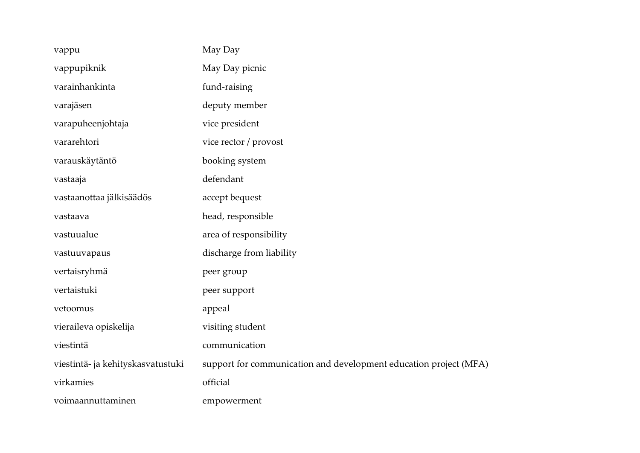| vappu                             | May Day                                                           |
|-----------------------------------|-------------------------------------------------------------------|
| vappupiknik                       | May Day picnic                                                    |
| varainhankinta                    | fund-raising                                                      |
| varajäsen                         | deputy member                                                     |
| varapuheenjohtaja                 | vice president                                                    |
| vararehtori                       | vice rector / provost                                             |
| varauskäytäntö                    | booking system                                                    |
| vastaaja                          | defendant                                                         |
| vastaanottaa jälkisäädös          | accept bequest                                                    |
| vastaava                          | head, responsible                                                 |
| vastuualue                        | area of responsibility                                            |
| vastuuvapaus                      | discharge from liability                                          |
| vertaisryhmä                      | peer group                                                        |
| vertaistuki                       | peer support                                                      |
| vetoomus                          | appeal                                                            |
| vieraileva opiskelija             | visiting student                                                  |
| viestintä                         | communication                                                     |
| viestintä- ja kehityskasvatustuki | support for communication and development education project (MFA) |
| virkamies                         | official                                                          |
| voimaannuttaminen                 | empowerment                                                       |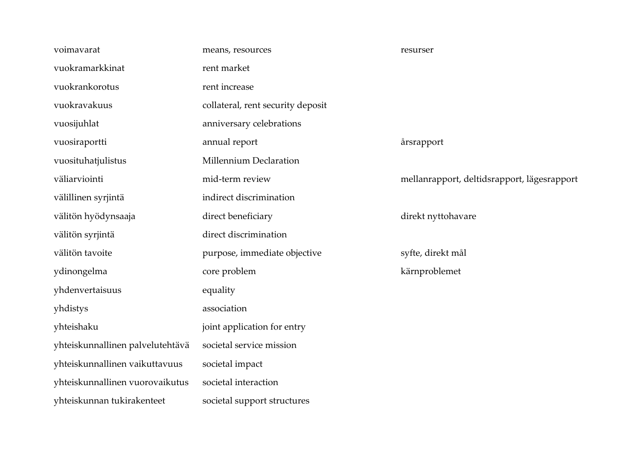| voimavarat          |                                  | means, resources                  | resurser                                    |
|---------------------|----------------------------------|-----------------------------------|---------------------------------------------|
| vuokramarkkinat     |                                  | rent market                       |                                             |
| vuokrankorotus      |                                  | rent increase                     |                                             |
| vuokravakuus        |                                  | collateral, rent security deposit |                                             |
| vuosijuhlat         |                                  | anniversary celebrations          |                                             |
| vuosiraportti       |                                  | annual report                     | årsrapport                                  |
| vuosituhatjulistus  |                                  | Millennium Declaration            |                                             |
| väliarviointi       |                                  | mid-term review                   | mellanrapport, deltidsrapport, lägesrapport |
| välillinen syrjintä |                                  | indirect discrimination           |                                             |
|                     | välitön hyödynsaaja              | direct beneficiary                | direkt nyttohavare                          |
| välitön syrjintä    |                                  | direct discrimination             |                                             |
| välitön tavoite     |                                  | purpose, immediate objective      | syfte, direkt mål                           |
| ydinongelma         |                                  | core problem                      | kärnproblemet                               |
| yhdenvertaisuus     |                                  | equality                          |                                             |
| yhdistys            |                                  | association                       |                                             |
| yhteishaku          |                                  | joint application for entry       |                                             |
|                     | yhteiskunnallinen palvelutehtävä | societal service mission          |                                             |
|                     | yhteiskunnallinen vaikuttavuus   | societal impact                   |                                             |
|                     | yhteiskunnallinen vuorovaikutus  | societal interaction              |                                             |
|                     | yhteiskunnan tukirakenteet       | societal support structures       |                                             |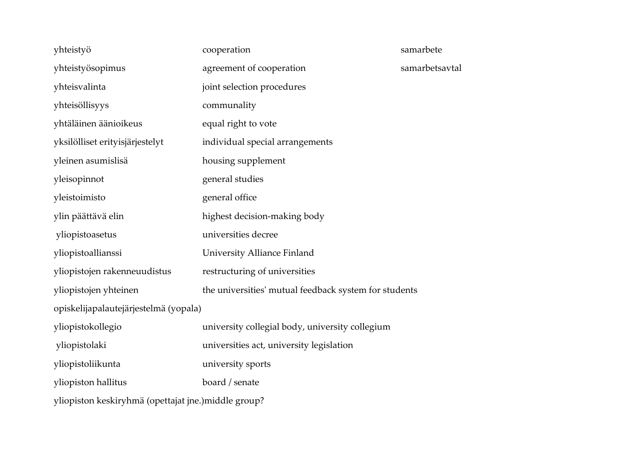| yhteistyö                                                                      | cooperation                                     | samarbete      |  |
|--------------------------------------------------------------------------------|-------------------------------------------------|----------------|--|
| yhteistyösopimus                                                               | agreement of cooperation                        | samarbetsavtal |  |
| yhteisvalinta                                                                  | joint selection procedures                      |                |  |
| yhteisöllisyys                                                                 | communality                                     |                |  |
| yhtäläinen äänioikeus                                                          | equal right to vote                             |                |  |
| yksilölliset erityisjärjestelyt                                                | individual special arrangements                 |                |  |
| yleinen asumislisä                                                             | housing supplement                              |                |  |
| yleisopinnot                                                                   | general studies                                 |                |  |
| yleistoimisto                                                                  | general office                                  |                |  |
| ylin päättävä elin                                                             | highest decision-making body                    |                |  |
| yliopistoasetus                                                                | universities decree                             |                |  |
| yliopistoallianssi                                                             | University Alliance Finland                     |                |  |
| yliopistojen rakenneuudistus                                                   | restructuring of universities                   |                |  |
| the universities' mutual feedback system for students<br>yliopistojen yhteinen |                                                 |                |  |
| opiskelijapalautejärjestelmä (yopala)                                          |                                                 |                |  |
| yliopistokollegio                                                              | university collegial body, university collegium |                |  |
| yliopistolaki                                                                  | universities act, university legislation        |                |  |
| yliopistoliikunta                                                              | university sports                               |                |  |
| yliopiston hallitus                                                            | board / senate                                  |                |  |
| yliopiston keskiryhmä (opettajat jne.) middle group?                           |                                                 |                |  |